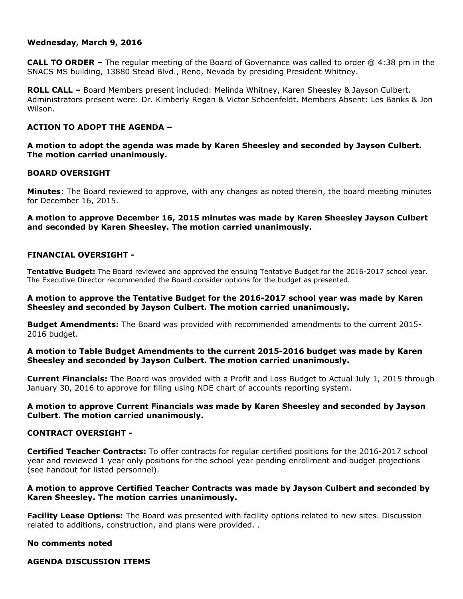# **Wednesday, March 9, 2016**

**CALL TO ORDER –** The regular meeting of the Board of Governance was called to order @ 4:38 pm in the SNACS MS building, 13880 Stead Blvd., Reno, Nevada by presiding President Whitney.

**ROLL CALL –** Board Members present included: Melinda Whitney, Karen Sheesley & Jayson Culbert. Administrators present were: Dr. Kimberly Regan & Victor Schoenfeldt. Members Absent: Les Banks & Jon Wilson.

# **ACTION TO ADOPT THE AGENDA –**

**A motion to adopt the agenda was made by Karen Sheesley and seconded by Jayson Culbert. The motion carried unanimously.** 

# **BOARD OVERSIGHT**

**Minutes**: The Board reviewed to approve, with any changes as noted therein, the board meeting minutes for December 16, 2015.

# **A motion to approve December 16, 2015 minutes was made by Karen Sheesley Jayson Culbert and seconded by Karen Sheesley. The motion carried unanimously.**

# **FINANCIAL OVERSIGHT -**

**Tentative Budget:** The Board reviewed and approved the ensuing Tentative Budget for the 2016-2017 school year. The Executive Director recommended the Board consider options for the budget as presented.

# **A motion to approve the Tentative Budget for the 2016-2017 school year was made by Karen Sheesley and seconded by Jayson Culbert. The motion carried unanimously.**

**Budget Amendments:** The Board was provided with recommended amendments to the current 2015- 2016 budget.

# **A motion to Table Budget Amendments to the current 2015-2016 budget was made by Karen Sheesley and seconded by Jayson Culbert. The motion carried unanimously.**

**Current Financials:** The Board was provided with a Profit and Loss Budget to Actual July 1, 2015 through January 30, 2016 to approve for filing using NDE chart of accounts reporting system.

# **A motion to approve Current Financials was made by Karen Sheesley and seconded by Jayson Culbert. The motion carried unanimously.**

# **CONTRACT OVERSIGHT -**

**Certified Teacher Contracts:** To offer contracts for regular certified positions for the 2016-2017 school year and reviewed 1 year only positions for the school year pending enrollment and budget projections (see handout for listed personnel).

# **A motion to approve Certified Teacher Contracts was made by Jayson Culbert and seconded by Karen Sheesley. The motion carries unanimously.**

**Facility Lease Options:** The Board was presented with facility options related to new sites. Discussion related to additions, construction, and plans were provided. .

#### **No comments noted**

**AGENDA DISCUSSION ITEMS**